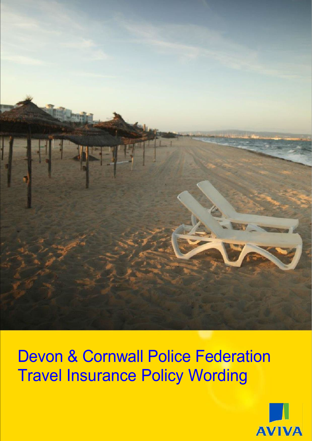

Devon & Cornwall Police Federation Travel Insurance Policy Wording

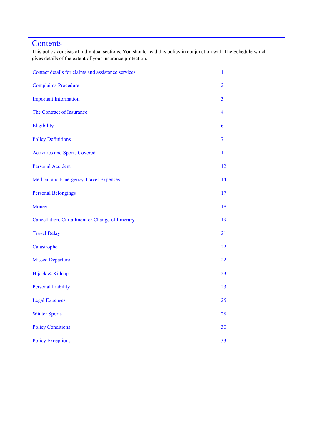## **Contents**

This policy consists of individual sections. You should read this policy in conjunction with The Schedule which gives details of the extent of your insurance protection.

| Contact details for claims and assistance services | 1              |
|----------------------------------------------------|----------------|
| <b>Complaints Procedure</b>                        | $\overline{2}$ |
| <b>Important Information</b>                       | $\overline{3}$ |
| The Contract of Insurance                          | $\overline{4}$ |
| Eligibility                                        | 6              |
| <b>Policy Definitions</b>                          | $\overline{7}$ |
| <b>Activities and Sports Covered</b>               | 11             |
| <b>Personal Accident</b>                           | 12             |
| Medical and Emergency Travel Expenses              | 14             |
| <b>Personal Belongings</b>                         | 17             |
| Money                                              | 18             |
| Cancellation, Curtailment or Change of Itinerary   | 19             |
| <b>Travel Delay</b>                                | 21             |
| Catastrophe                                        | 22             |
| <b>Missed Departure</b>                            | 22             |
| Hijack & Kidnap                                    | 23             |
| <b>Personal Liability</b>                          | 23             |
| <b>Legal Expenses</b>                              | 25             |
| <b>Winter Sports</b>                               | 28             |
| <b>Policy Conditions</b>                           | 30             |
| <b>Policy Exceptions</b>                           | 33             |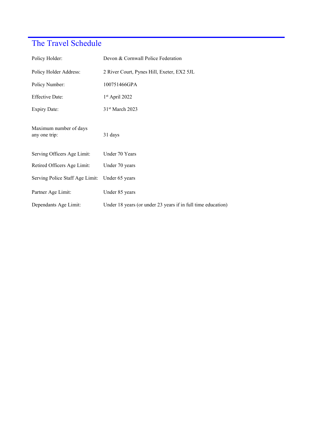# The Travel Schedule

| Policy Holder:                          | Devon & Cornwall Police Federation                           |  |
|-----------------------------------------|--------------------------------------------------------------|--|
| Policy Holder Address:                  | 2 River Court, Pynes Hill, Exeter, EX2 5JL                   |  |
| Policy Number:                          | 100751466GPA                                                 |  |
| <b>Effective Date:</b>                  | $1st$ April 2022                                             |  |
| <b>Expiry Date:</b>                     | 31 <sup>st</sup> March 2023                                  |  |
| Maximum number of days<br>any one trip: | 31 days                                                      |  |
| Serving Officers Age Limit:             | Under 70 Years                                               |  |
| Retired Officers Age Limit:             | Under 70 years                                               |  |
| Serving Police Staff Age Limit:         | Under 65 years                                               |  |
| Partner Age Limit:                      | Under 85 years                                               |  |
| Dependants Age Limit:                   | Under 18 years (or under 23 years if in full time education) |  |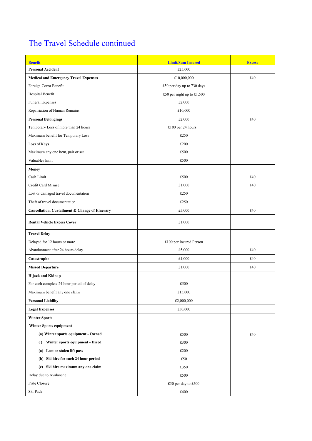# The Travel Schedule continued

| <b>Benefit</b>                                                | <b>Limit/Sum Insured</b>   | <b>Excess</b> |
|---------------------------------------------------------------|----------------------------|---------------|
| <b>Personal Accident</b>                                      | £25,000                    |               |
| <b>Medical and Emergency Travel Expenses</b>                  | £10,000,000                | £40           |
| Foreign Coma Benefit                                          | £50 per day up to 730 days |               |
| Hospital Benefit                                              | £50 per night up to £1,500 |               |
| <b>Funeral Expenses</b>                                       | £2,000                     |               |
| Repatriation of Human Remains                                 | £10,000                    |               |
| <b>Personal Belongings</b>                                    | £2,000                     | £40           |
| Temporary Loss of more than 24 hours                          | £100 per 24 hours          |               |
| Maximum benefit for Temporary Loss                            | £250                       |               |
| Loss of Keys                                                  | £200                       |               |
| Maximum any one item, pair or set                             | £500                       |               |
| Valuables limit                                               | £500                       |               |
| <b>Money</b>                                                  |                            |               |
| Cash Limit                                                    | £500                       | £40           |
| Credit Card Misuse                                            | £1,000                     | £40           |
| Lost or damaged travel documentation                          | £250                       |               |
| Theft of travel documentation                                 | £250                       |               |
| Cancellation, Curtailment & Change of Itinerary               | £5,000                     | £40           |
| <b>Rental Vehicle Excess Cover</b>                            | £1,000                     |               |
| <b>Travel Delay</b>                                           |                            |               |
| Delayed for 12 hours or more                                  | £100 per Insured Person    |               |
| Abandonment after 24 hours delay                              | £5,000                     | £40           |
| Catastrophe                                                   | £1,000                     | £40           |
| <b>Missed Departure</b>                                       | £1,000                     | £40           |
| Hijack and Kidnap                                             |                            |               |
| For each complete 24 hour period of delay                     | £500                       |               |
| Maximum benefit any one claim                                 | £15,000                    |               |
| <b>Personal Liability</b>                                     | £2,000,000                 |               |
| <b>Legal Expenses</b>                                         | £50,000                    |               |
| <b>Winter Sports</b>                                          |                            |               |
| Winter Sports equipment                                       |                            |               |
| (a) Winter sports equipment - Owned                           | £500                       | £40           |
| Winter sports equipment - Hired<br>$\left( \right)$           | £300                       |               |
| (a) Lost or stolen lift pass                                  | £200                       |               |
| (b) Ski hire for each 24 hour period                          | £50                        |               |
| Ski hire maximum any one claim<br>$\left( \mathrm{c} \right)$ | £350                       |               |
| Delay due to Avalanche                                        | £500                       |               |
| Piste Closure                                                 | £50 per day to £500        |               |
| Ski Pack                                                      | £400                       |               |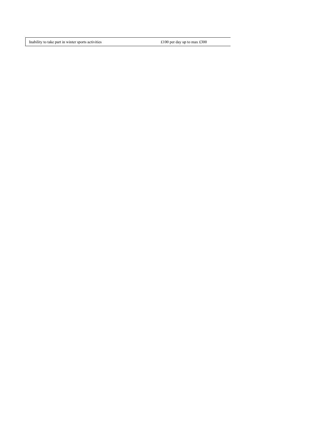Inability to take part in winter sports activities  $\pounds 100$  per day up to max £300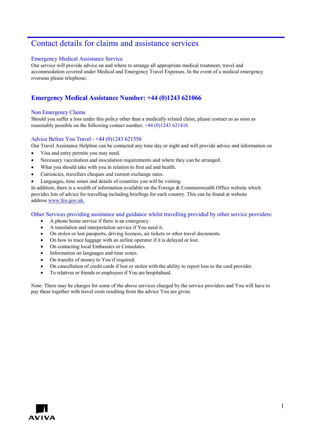## Contact details for claims and assistance services

## Emergency Medical Assistance Service

Our service will provide advice on and where to arrange all appropriate medical treatment, travel and accommodation covered under Medical and Emergency Travel Expenses. In the event of a medical emergency overseas please telephone;

## **Emergency Medical Assistance Number: +44 (0)1243 621066**

## Non Emergency Claims

Should you suffer a loss under this policy other than a medically related claim, please contact us as soon as reasonably possible on the following contact number; +44 (0)1243 621416

## Advice Before You Travel - +44 (0)1243 621556

Our Travel Assistance Helpline can be contacted any time day or night and will provide advice and information on

- Visa and entry permits you may need.
- Necessary vaccination and inoculation requirements and where they can be arranged.
- What you should take with you in relation to first aid and health.
- Currencies, travellers cheques and current exchange rates.
- Languages, time zones and details of countries you will be visiting.

In addition, there is a wealth of information available on the Foreign & Commonwealth Office website which provides lots of advice for travelling including briefings for each country. This can be found at website address [www.fco.gov.uk.](http://www.fco.gov.uk/)

Other Services providing assistance and guidance whilst travelling provided by other service providers:

- A phone home service if there is an emergency.
- A translation and interpretation service if You need it.
- On stolen or lost passports, driving licences, air tickets or other travel documents.
- On how to trace luggage with an airline operator if it is delayed or lost.
- On contacting local Embassies or Consulates.
- Information on languages and time zones.
- On transfer of money to You if required.
- On cancellation of credit cards if lost or stolen with the ability to report loss to the card provider.
- To relatives or friends or employees if You are hospitalised.

Note: There may be charges for some of the above services charged by the service providers and You will have to pay these together with travel costs resulting from the advice You are given.

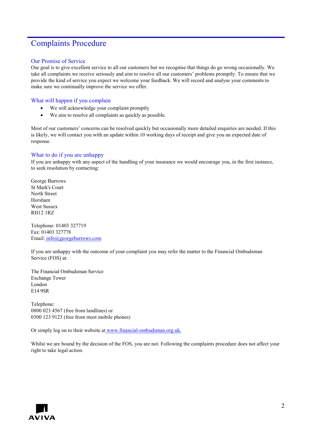## Complaints Procedure

## Our Promise of Service

Our goal is to give excellent service to all our customers but we recognise that things do go wrong occasionally. We take all complaints we receive seriously and aim to resolve all our customers' problems promptly. To ensure that we provide the kind of service you expect we welcome your feedback. We will record and analyse your comments to make sure we continually improve the service we offer.

## What will happen if you complain

- We will acknowledge your complaint promptly
- We aim to resolve all complaints as quickly as possible.

Most of our customers' concerns can be resolved quickly but occasionally more detailed enquiries are needed. If this is likely, we will contact you with an update within 10 working days of receipt and give you an expected date of response.

## What to do if you are unhappy

If you are unhappy with any aspect of the handling of your insurance we would encourage you, in the first instance, to seek resolution by contacting:

George Burrows St Mark's Court North Street Horsham West Sussex RH12 1RZ

Telephone: 01403 327719 Fax: 01403 327778 Email: [info@georgeburrows.com](mailto:info@georgeburrows.com)

If you are unhappy with the outcome of your complaint you may refer the matter to the Financial Ombudsman Service (FOS) at:

The Financial Ombudsman Service Exchange Tower London E14 9SR

Telephone: 0800 023 4567 (free from landlines) or 0300 123 9123 (free from most mobile phones)

Or simply log on to their website a[t](http://www.financial-ombudsman.org.uk/) www.financial-ombudsman.org.uk.

Whilst we are bound by the decision of the FOS, you are not. Following the complaints procedure does not affect your right to take legal action.

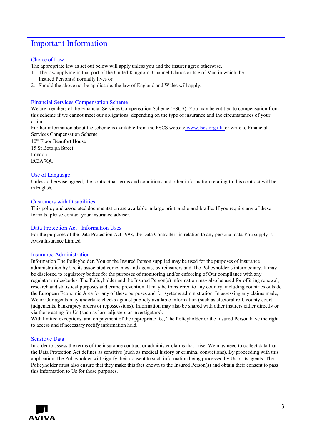## Important Information

## Choice of Law

The appropriate law as set out below will apply unless you and the insurer agree otherwise.

- 1. The law applying in that part of the United Kingdom, Channel Islands or Isle of Man in which the Insured Person(s) normally lives or
- 2. Should the above not be applicable, the law of England and Wales will apply.

## Financial Services Compensation Scheme

We are members of the Financial Services Compensation Scheme (FSCS). You may be entitled to compensation from this scheme if we cannot meet our obligations, depending on the type of insurance and the circumstances of your claim.

Further information about the scheme is available from the FSCS website [www.fscs.org.uk, o](http://www.fscs.org.uk/)r write to Financial Services Compensation Scheme

10th Floor Beaufort House 15 St Botolph Street London EC3A 7QU

## Use of Language

Unless otherwise agreed, the contractual terms and conditions and other information relating to this contract will be in English.

## Customers with Disabilities

This policy and associated documentation are available in large print, audio and braille. If you require any of these formats, please contact your insurance adviser.

## Data Protection Act –Information Uses

For the purposes of the Data Protection Act 1998, the Data Controllers in relation to any personal data You supply is Aviva Insurance Limited.

## Insurance Administration

Information The Policyholder, You or the Insured Person supplied may be used for the purposes of insurance administration by Us, its associated companies and agents, by reinsurers and The Policyholder's intermediary. It may be disclosed to regulatory bodies for the purposes of monitoring and/or enforcing of Our compliance with any regulatory rules/codes. The Policyholder and the Insured Person(s) information may also be used for offering renewal, research and statistical purposes and crime prevention. It may be transferred to any country, including countries outside the European Economic Area for any of these purposes and for systems administration. In assessing any claims made, We or Our agents may undertake checks against publicly available information (such as electoral roll, county court judgements, bankruptcy orders or repossessions). Information may also be shared with other insurers either directly or via those acting for Us (such as loss adjusters or investigators).

With limited exceptions, and on payment of the appropriate fee, The Policyholder or the Insured Person have the right to access and if necessary rectify information held.

## Sensitive Data

In order to assess the terms of the insurance contract or administer claims that arise, We may need to collect data that the Data Protection Act defines as sensitive (such as medical history or criminal convictions). By proceeding with this application The Policyholder will signify their consent to such information being processed by Us or its agents. The Policyholder must also ensure that they make this fact known to the Insured Person(s) and obtain their consent to pass this information to Us for these purposes.

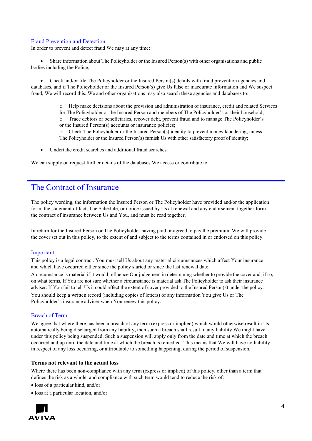## Fraud Prevention and Detection

In order to prevent and detect fraud We may at any time:

• Share information about The Policyholder or the Insured Person(s) with other organisations and public bodies including the Police;

• Check and/or file The Policyholder or the Insured Person(s) details with fraud prevention agencies and databases, and if The Policyholder or the Insured Person(s) give Us false or inaccurate information and We suspect fraud, We will record this. We and other organisations may also search these agencies and databases to:

> o Help make decisions about the provision and administration of insurance, credit and related Services for The Policyholder or the Insured Person and members of The Policyholder's or their household; o Trace debtors or beneficiaries, recover debt, prevent fraud and to manage The Policyholder's or the Insured Person(s) accounts or insurance policies;

o Check The Policyholder or the Insured Person(s) identity to prevent money laundering, unless The Policyholder or the Insured Person(s) furnish Us with other satisfactory proof of identity;

Undertake credit searches and additional fraud searches.

We can supply on request further details of the databases We access or contribute to.

## The Contract of Insurance

The policy wording, the information the Insured Person or The Policyholder have provided and/or the application form, the statement of fact, The Schedule, or notice issued by Us at renewal and any endorsement together form the contract of insurance between Us and You, and must be read together.

In return for the Insured Person or The Policyholder having paid or agreed to pay the premium, We will provide the cover set out in this policy, to the extent of and subject to the terms contained in or endorsed on this policy.

## Important

This policy is a legal contract. You must tell Us about any material circumstances which affect Your insurance and which have occurred either since the policy started or since the last renewal date.

A circumstance is material if it would influence Our judgement in determining whether to provide the cover and, if so, on what terms. If You are not sure whether a circumstance is material ask The Policyholder to ask their insurance adviser. If You fail to tell Us it could affect the extent of cover provided to the Insured Person(s) under the policy.

You should keep a written record (including copies of letters) of any information You give Us or The Policyholder's insurance adviser when You renew this policy.

## Breach of Term

We agree that where there has been a breach of any term (express or implied) which would otherwise result in Us automatically being discharged from any liability, then such a breach shall result in any liability We might have under this policy being suspended. Such a suspension will apply only from the date and time at which the breach occurred and up until the date and time at which the breach is remedied. This means that We will have no liability in respect of any loss occurring, or attributable to something happening, during the period of suspension.

## **Terms not relevant to the actual loss**

Where there has been non-compliance with any term (express or implied) of this policy, other than a term that defines the risk as a whole, and compliance with such term would tend to reduce the risk of:

- loss of a particular kind, and/or
- loss at a particular location, and/or

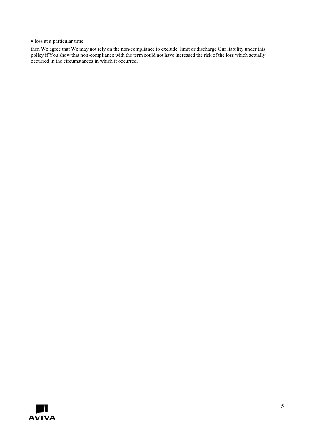• loss at a particular time,

then We agree that We may not rely on the non-compliance to exclude, limit or discharge Our liability under this policy if You show that non-compliance with the term could not have increased the risk of the loss which actually occurred in the circumstances in which it occurred.

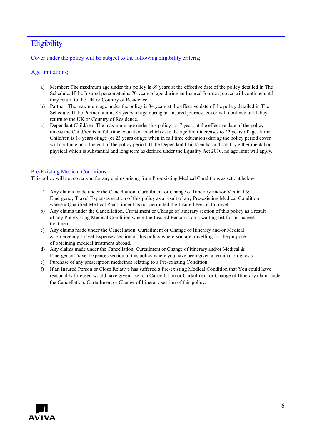# **Eligibility**

Cover under the policy will be subject to the following eligibility criteria;

## Age limitations;

- a) Member: The maximum age under this policy is 69 years at the effective date of the policy detailed in The Schedule. If the Insured person attains 70 years of age during an Insured Journey, cover will continue until they return to the UK or Country of Residence.
- b) Partner: The maximum age under the policy is 84 years at the effective date of the policy detailed in The Schedule. If the Partner attains 85 years of age during an Insured journey, cover will continue until they return to the UK or Country of Residence.
- c) Dependant Child/ren; The maximum age under this policy is 17 years at the effective date of the policy unless the Child/ren is in full time education in which case the age limit increases to 22 years of age. If the Child/ren is 18 years of age (or 23 years of age when in full time education) during the policy period cover will continue until the end of the policy period. If the Dependant Child/ren has a disability either mental or physical which is substantial and long term as defined under the Equality Act 2010, no age limit will apply.

## Pre-Existing Medical Conditions;

This policy will not cover you for any claims arising from Pre-existing Medical Conditions as set out below;

- a) Any claims made under the Cancellation, Curtailment or Change of Itinerary and/or Medical  $\&$ Emergency Travel Expenses section of this policy as a result of any Pre-existing Medical Condition where a Qualified Medical Practitioner has not permitted the Insured Person to travel.
- b) Any claims under the Cancellation, Curtailment or Change of Itinerary section of this policy as a result of any Pre-existing Medical Condition where the Insured Person is on a waiting list for in- patient treatment.
- c) Any claims made under the Cancellation, Curtailment or Change of Itinerary and/or Medical & Emergency Travel Expenses section of this policy where you are travelling for the purpose of obtaining medical treatment abroad.
- d) Any claims made under the Cancellation, Curtailment or Change of Itinerary and/or Medical  $\&$ Emergency Travel Expenses section of this policy where you have been given a terminal prognosis.
- e) Purchase of any prescription medicines relating to a Pre-existing Condition.
- f) If an Insured Person or Close Relative has suffered a Pre-existing Medical Condition that You could have reasonably foreseen would have given rise to a Cancellation or Curtailment or Change of Itinerary claim under the Cancellation, Curtailment or Change of Itinerary section of this policy.

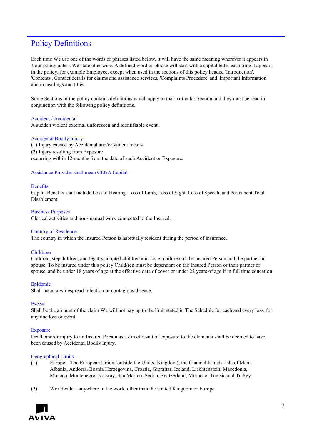## Policy Definitions

Each time We use one of the words or phrases listed below, it will have the same meaning wherever it appears in Your policy unless We state otherwise. A defined word or phrase will start with a capital letter each time it appears in the policy, for example Employee, except when used in the sections of this policy headed 'Introduction', 'Contents', Contact details for claims and assistance services, 'Complaints Procedure' and 'Important Information' and in headings and titles.

Some Sections of the policy contains definitions which apply to that particular Section and they must be read in conjunction with the following policy definitions.

## Accident / Accidental

A sudden violent external unforeseen and identifiable event.

## Accidental Bodily Injury

(1) Injury caused by Accidental and/or violent means (2) Injury resulting from Exposure occurring within 12 months from the date of such Accident or Exposure.

## Assistance Provider shall mean CEGA Capital

## **Benefits**

Capital Benefits shall include Loss of Hearing, Loss of Limb, Loss of Sight, Loss of Speech, and Permanent Total Disablement.

## Business Purposes

Clerical activities and non-manual work connected to the Insured.

## Country of Residence

The country in which the Insured Person is habitually resident during the period of insurance.

## Child/ren

Children, stepchildren, and legally adopted children and foster children of the Insured Person and the partner or spouse. To be insured under this policy Child/ren must be dependant on the Insured Person or their partner or spouse, and be under 18 years of age at the effective date of cover or under 22 years of age if in full time education.

## Epidemic

Shall mean a widespread infection or contagious disease.

## **Excess**

Shall be the amount of the claim We will not pay up to the limit stated in The Schedule for each and every loss, for any one loss or event.

## Exposure

Death and/or injury to an Insured Person as a direct result of exposure to the elements shall be deemed to have been caused by Accidental Bodily Injury.

## Geographical Limits

- (1) Europe The European Union (outside the United Kingdom), the Channel Islands, Isle of Man, Albania, Andorra, Bosnia Herzegovina, Croatia, Gibraltar, Iceland, Liechtenstein, Macedonia, Monaco, Montenegro, Norway, San Marino, Serbia, Switzerland, Morocco, Tunisia and Turkey.
- (2) Worldwide anywhere in the world other than the United Kingdom or Europe.

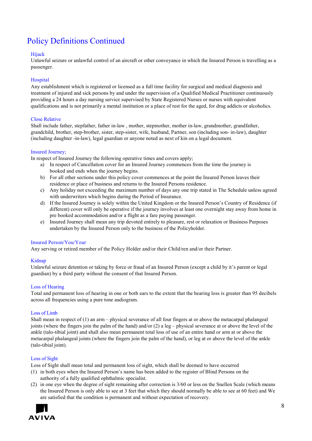# Policy Definitions Continued

## Hijack

Unlawful seizure or unlawful control of an aircraft or other conveyance in which the Insured Person is travelling as a passenger.

## Hospital

Any establishment which is registered or licensed as a full time facility for surgical and medical diagnosis and treatment of injured and sick persons by and under the supervision of a Qualified Medical Practitioner continuously providing a 24 hours a day nursing service supervised by State Registered Nurses or nurses with equivalent qualifications and is not primarily a mental institution or a place of rest for the aged, for drug addicts or alcoholics.

## Close Relative

Shall include father, stepfather, father in-law , mother, stepmother, mother in-law, grandmother, grandfather, grandchild, brother, step-brother, sister, step-sister, wife, husband, Partner, son (including son- in-law), daughter (including daughter -in-law), legal guardian or anyone noted as next of kin on a legal document.

## Insured Journey;

In respect of Insured Journey the following operative times and covers apply;

- a) In respect of Cancellation cover for an Insured Journey commences from the time the journey is booked and ends when the journey begins.
- b) For all other sections under this policy cover commences at the point the Insured Person leaves their residence or place of business and returns to the Insured Persons residence.
- c) Any holiday not exceeding the maximum number of days any one trip stated in The Schedule unless agreed with underwriters which begins during the Period of Insurance.
- d) If the Insured Journey is solely within the United Kingdom or the Insured Person's Country of Residence (if different) cover will only be operative if the journey involves at least one overnight stay away from home in pre booked accommodation and/or a flight as a fare paying passenger.
- e) Insured Journey shall mean any trip devoted entirely to pleasure, rest or relaxation or Business Purposes undertaken by the Insured Person only to the business of the Policyholder.

## Insured Person/You/Your

Any serving or retired member of the Policy Holder and/or their Child/ren and/or their Partner.

## Kidnap

Unlawful seizure detention or taking by force or fraud of an Insured Person (except a child by it's parent or legal guardian) by a third party without the consent of that Insured Person.

## Loss of Hearing

Total and permanent loss of hearing in one or both ears to the extent that the hearing loss is greater than 95 decibels across all frequencies using a pure tone audiogram.

## Loss of Limb

Shall mean in respect of (1) an arm – physical severance of all four fingers at or above the metacarpal phalangeal joints (where the fingers join the palm of the hand) and/or (2) a leg – physical severance at or above the level of the ankle (talo-tibial joint) and shall also mean permanent total loss of use of an entire hand or arm at or above the metacarpal phalangeal joints (where the fingers join the palm of the hand), or leg at or above the level of the ankle (talo-tibial joint).

## Loss of Sight

Loss of Sight shall mean total and permanent loss of sight, which shall be deemed to have occurred

- (1) in both eyes when the Insured Person's name has been added to the register of Blind Persons on the authority of a fully qualified ophthalmic specialist.
- (2) in one eye when the degree of sight remaining after correction is 3/60 or less on the Snellen Scale (which means the Insured Person is only able to see at 3 feet that which they should normally be able to see at 60 feet) and We are satisfied that the condition is permanent and without expectation of recovery.

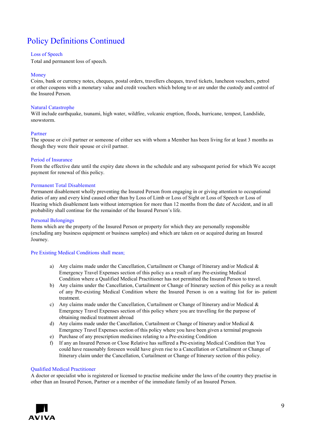# Policy Definitions Continued

## Loss of Speech

Total and permanent loss of speech.

## Money

Coins, bank or currency notes, cheques, postal orders, travellers cheques, travel tickets, luncheon vouchers, petrol or other coupons with a monetary value and credit vouchers which belong to or are under the custody and control of the Insured Person.

#### Natural Catastrophe

Will include earthquake, tsunami, high water, wildfire, volcanic eruption, floods, hurricane, tempest, Landslide, snowstorm.

## Partner

The spouse or civil partner or someone of either sex with whom a Member has been living for at least 3 months as though they were their spouse or civil partner.

## Period of Insurance

From the effective date until the expiry date shown in the schedule and any subsequent period for which We accept payment for renewal of this policy.

## Permanent Total Disablement

Permanent disablement wholly preventing the Insured Person from engaging in or giving attention to occupational duties of any and every kind caused other than by Loss of Limb or Loss of Sight or Loss of Speech or Loss of Hearing which disablement lasts without interruption for more than 12 months from the date of Accident, and in all probability shall continue for the remainder of the Insured Person's life.

#### Personal Belongings

Items which are the property of the Insured Person or property for which they are personally responsible (excluding any business equipment or business samples) and which are taken on or acquired during an Insured Journey.

## Pre Existing Medical Conditions shall mean;

- a) Any claims made under the Cancellation, Curtailment or Change of Itinerary and/or Medical  $\&$ Emergency Travel Expenses section of this policy as a result of any Pre-existing Medical Condition where a Qualified Medical Practitioner has not permitted the Insured Person to travel.
- b) Any claims under the Cancellation, Curtailment or Change of Itinerary section of this policy as a result of any Pre-existing Medical Condition where the Insured Person is on a waiting list for in- patient treatment.
- c) Any claims made under the Cancellation, Curtailment or Change of Itinerary and/or Medical  $\&$ Emergency Travel Expenses section of this policy where you are travelling for the purpose of obtaining medical treatment abroad
- d) Any claims made under the Cancellation, Curtailment or Change of Itinerary and/or Medical & Emergency Travel Expenses section of this policy where you have been given a terminal prognosis
- e) Purchase of any prescription medicines relating to a Pre-existing Condition
- f) If any an Insured Person or Close Relative has suffered a Pre-existing Medical Condition that You could have reasonably foreseen would have given rise to a Cancellation or Curtailment or Change of Itinerary claim under the Cancellation, Curtailment or Change of Itinerary section of this policy.

## Qualified Medical Practitioner

A doctor or specialist who is registered or licensed to practise medicine under the laws of the country they practise in other than an Insured Person, Partner or a member of the immediate family of an Insured Person.

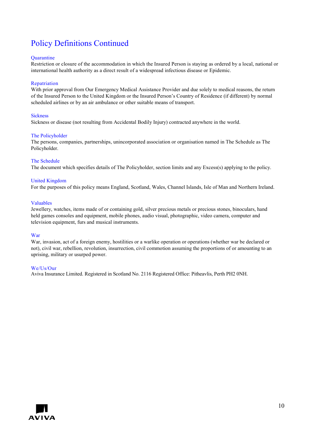# Policy Definitions Continued

#### **Quarantine**

Restriction or closure of the accommodation in which the Insured Person is staying as ordered by a local, national or international health authority as a direct result of a widespread infectious disease or Epidemic.

#### Repatriation

With prior approval from Our Emergency Medical Assistance Provider and due solely to medical reasons, the return of the Insured Person to the United Kingdom or the Insured Person's Country of Residence (if different) by normal scheduled airlines or by an air ambulance or other suitable means of transport.

#### **Sickness**

Sickness or disease (not resulting from Accidental Bodily Injury) contracted anywhere in the world.

#### The Policyholder

The persons, companies, partnerships, unincorporated association or organisation named in The Schedule as The Policyholder.

#### The Schedule

The document which specifies details of The Policyholder, section limits and any Excess(s) applying to the policy.

#### United Kingdom

For the purposes of this policy means England, Scotland, Wales, Channel Islands, Isle of Man and Northern Ireland.

#### Valuables

Jewellery, watches, items made of or containing gold, silver precious metals or precious stones, binoculars, hand held games consoles and equipment, mobile phones, audio visual, photographic, video camera, computer and television equipment, furs and musical instruments.

#### War

War, invasion, act of a foreign enemy, hostilities or a warlike operation or operations (whether war be declared or not), civil war, rebellion, revolution, insurrection, civil commotion assuming the proportions of or amounting to an uprising, military or usurped power.

#### We/Us/Our

Aviva Insurance Limited. Registered in Scotland No. 2116 Registered Office: Pitheavlis, Perth PH2 0NH.

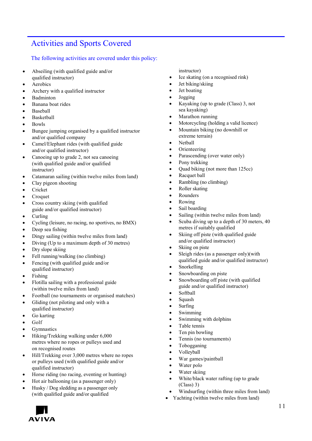# Activities and Sports Covered

## The following activities are covered under this policy:

- Abseiling (with qualified guide and/or qualified instructor)
- Aerobics
- Archery with a qualified instructor
- Badminton
- Banana boat rides
- Baseball
- Basketball
- Bowls
- Bungee jumping organised by a qualified instructor and/or qualified company
- Camel/Elephant rides (with qualified guide and/or qualified instructor)
- Canoeing up to grade 2, not sea canoeing (with qualified guide and/or qualified instructor)
- Catamaran sailing (within twelve miles from land)
- Clay pigeon shooting
- Cricket
- Croquet
- Cross country skiing (with qualified guide and/or qualified instructor)
- Curling
- Cycling (leisure, no racing, no sportives, no BMX)
- Deep sea fishing
- Dingy sailing (within twelve miles from land)
- Diving (Up to a maximum depth of 30 metres)
- Dry slope skiing
- Fell running/walking (no climbing)
- Fencing (with qualified guide and/or qualified instructor)
- Fishing
- Flotilla sailing with a professional guide (within twelve miles from land)
- Football (no tournaments or organised matches)
- Gliding (not piloting and only with a qualified instructor)
- Go karting
- Golf
- **Gymnastics**
- Hiking/Trekking walking under 6,000 metres where no ropes or pulleys used and on recognised routes
- Hill/Trekking over 3,000 metres where no ropes or pulleys used (with qualified guide and/or qualified instructor)
- Horse riding (no racing, eventing or hunting)
- Hot air ballooning (as a passenger only)
- Husky / Dog sledding as a passenger only (with qualified guide and/or qualified

instructor)

- Ice skating (on a recognised rink)
- Jet biking/skiing
- Jet boating
- Jogging
- Kayaking (up to grade (Class) 3, not sea kayaking)
- Marathon running
- Motorcycling (holding a valid licence)
- Mountain biking (no downhill or extreme terrain)
- Netball
- Orienteering
- Parascending (over water only)
- Pony trekking
- Quad biking (not more than 125cc)
- Racquet ball
- Rambling (no climbing)
- Roller skating
- **Rounders**
- Rowing
- Sail boarding
- Sailing (within twelve miles from land)
- Scuba diving up to a depth of 30 meters, 40 metres if suitably qualified
- Skiing off piste (with qualified guide and/or qualified instructor)
- Skiing on piste
- Sleigh rides (as a passenger only)(with qualified guide and/or qualified instructor)
- **Snorkelling**
- Snowboarding on piste
- Snowboarding off piste (with qualified guide and/or qualified instructor)
- Softball
- Squash
- Surfing
- Swimming
- Swimming with dolphins
- Table tennis
- Ten pin bowling
- Tennis (no tournaments)
- Tobogganing
- Volleyball
- War games/paintball
- Water polo
- Water skiing
- White/black water rafting (up to grade (Class) 3)
- Windsurfing (within three miles from land)
- Yachting (within twelve miles from land)

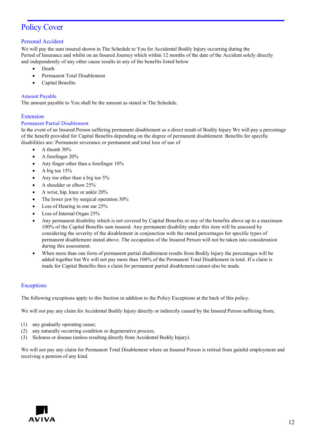# Policy Cover

## Personal Accident

We will pay the sum insured shown in The Schedule to You for Accidental Bodily Injury occurring during the Period of Insurance and whilst on an Insured Journey which within 12 months of the date of the Accident solely directly and independently of any other cause results in any of the benefits listed below

- Death
- Permanent Total Disablement
- Capital Benefits

## Amount Payable

The amount payable to You shall be the amount as stated in The Schedule.

## Extension

## Permanent Partial Disablement

In the event of an Insured Person suffering permanent disablement as a direct result of Bodily Injury We will pay a percentage of the benefit provided for Capital Benefits depending on the degree of permanent disablement. Benefits for specific disabilities are: Permanent severance or permanent and total loss of use of

- A thumb 30%
- A forefinger 20%
- Any finger other than a forefinger 10%
- A big toe 15%
- Any toe other than a big toe 5%
- A shoulder or elbow 25%
- A wrist, hip, knee or ankle 20%
- The lower jaw by surgical operation 30%
- Loss of Hearing in one ear 25%
- Loss of Internal Organ 25%
- Any permanent disability which is not covered by Capital Benefits or any of the benefits above up to a maximum 100% of the Capital Benefits sum insured. Any permanent disability under this item will be assessed by considering the severity of the disablement in conjunction with the stated percentages for specific types of permanent disablement stated above. The occupation of the Insured Person will not be taken into consideration during this assessment.
- When more than one form of permanent partial disablement results from Bodily Injury the percentages will be added together but We will not pay more than 100% of the Permanent Total Disablement in total. If a claim is made for Capital Benefits then a claim for permanent partial disablement cannot also be made.

## **Exceptions**

The following exceptions apply to this Section in addition to the Policy Exceptions at the back of this policy.

We will not pay any claim for Accidental Bodily Injury directly or indirectly caused by the Insured Person suffering from;

- (1) any gradually operating cause;
- (2) any naturally occurring condition or degenerative process;
- (3) Sickness or disease (unless resulting directly from Accidental Bodily Injury).

We will not pay any claim for Permanent Total Disablement where an Insured Person is retired from gainful employment and receiving a pension of any kind.

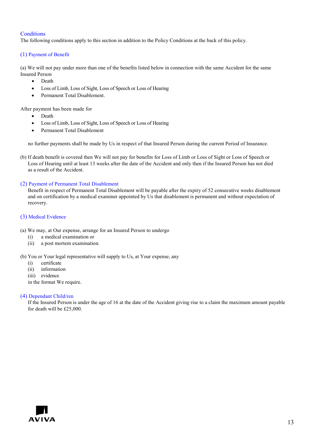## **Conditions**

The following conditions apply to this section in addition to the Policy Conditions at the back of this policy.

## (1) Payment of Benefit

(a) We will not pay under more than one of the benefits listed below in connection with the same Accident for the same Insured Person

- Death
- Loss of Limb, Loss of Sight, Loss of Speech or Loss of Hearing
- Permanent Total Disablement.

After payment has been made for

- Death
- Loss of Limb, Loss of Sight, Loss of Speech or Loss of Hearing
- Permanent Total Disablement

no further payments shall be made by Us in respect of that Insured Person during the current Period of Insurance.

(b) If death benefit is covered then We will not pay for benefits for Loss of Limb or Loss of Sight or Loss of Speech or Loss of Hearing until at least 13 weeks after the date of the Accident and only then if the Insured Person has not died as a result of the Accident.

## (2) Payment of Permanent Total Disablement

Benefit in respect of Permanent Total Disablement will be payable after the expiry of 52 consecutive weeks disablement and on certification by a medical examiner appointed by Us that disablement is permanent and without expectation of recovery.

## (3) Medical Evidence

- (a) We may, at Our expense, arrange for an Insured Person to undergo
	- (i) a medical examination or
	- (ii) a post mortem examination.

## (b) You or Your legal representative will supply to Us, at Your expense, any

- (i) certificate
- (ii) information
- (iii) evidence
- in the format We require.

## (4) Dependant Child/ren

If the Insured Person is under the age of 16 at the date of the Accident giving rise to a claim the maximum amount payable for death will be £25,000.

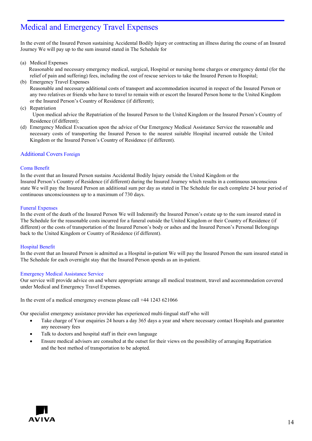# Medical and Emergency Travel Expenses

In the event of the Insured Person sustaining Accidental Bodily Injury or contracting an illness during the course of an Insured Journey We will pay up to the sum insured stated in The Schedule for

(a) Medical Expenses

Reasonable and necessary emergency medical, surgical, Hospital or nursing home charges or emergency dental (for the relief of pain and suffering) fees, including the cost of rescue services to take the Insured Person to Hospital;

- (b) Emergency Travel Expenses Reasonable and necessary additional costs of transport and accommodation incurred in respect of the Insured Person or any two relatives or friends who have to travel to remain with or escort the Insured Person home to the United Kingdom or the Insured Person's Country of Residence (if different);
- (c) Repatriation

Upon medical advice the Repatriation of the Insured Person to the United Kingdom or the Insured Person's Country of Residence (if different);

(d) Emergency Medical Evacuation upon the advice of Our Emergency Medical Assistance Service the reasonable and necessary costs of transporting the Insured Person to the nearest suitable Hospital incurred outside the United Kingdom or the Insured Person's Country of Residence (if different).

## Additional Covers Foreign

## Coma Benefit

In the event that an Insured Person sustains Accidental Bodily Injury outside the United Kingdom or the Insured Person's Country of Residence (if different) during the Insured Journey which results in a continuous unconscious state We will pay the Insured Person an additional sum per day as stated in The Schedule for each complete 24 hour period of continuous unconsciousness up to a maximum of 730 days.

## Funeral Expenses

In the event of the death of the Insured Person We will Indemnify the Insured Person's estate up to the sum insured stated in The Schedule for the reasonable costs incurred for a funeral outside the United Kingdom or their Country of Residence (if different) or the costs of transportation of the Insured Person's body or ashes and the Insured Person's Personal Belongings back to the United Kingdom or Country of Residence (if different).

## Hospital Benefit

In the event that an Insured Person is admitted as a Hospital in-patient We will pay the Insured Person the sum insured stated in The Schedule for each overnight stay that the Insured Person spends as an in-patient.

## Emergency Medical Assistance Service

Our service will provide advice on and where appropriate arrange all medical treatment, travel and accommodation covered under Medical and Emergency Travel Expenses.

In the event of a medical emergency overseas please call +44 1243 621066

Our specialist emergency assistance provider has experienced multi-lingual staff who will

- Take charge of Your enquiries 24 hours a day 365 days a year and where necessary contact Hospitals and guarantee any necessary fees
- Talk to doctors and hospital staff in their own language
- Ensure medical advisers are consulted at the outset for their views on the possibility of arranging Repatriation and the best method of transportation to be adopted.

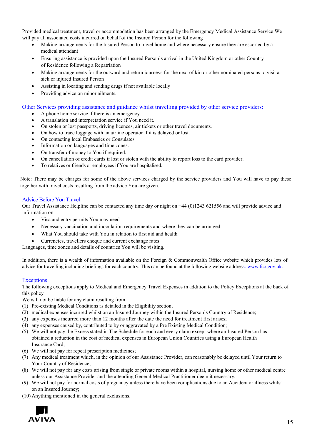Provided medical treatment, travel or accommodation has been arranged by the Emergency Medical Assistance Service We will pay all associated costs incurred on behalf of the Insured Person for the following

- Making arrangements for the Insured Person to travel home and where necessary ensure they are escorted by a medical attendant
- Ensuring assistance is provided upon the Insured Person's arrival in the United Kingdom or other Country of Residence following a Repatriation
- Making arrangements for the outward and return journeys for the next of kin or other nominated persons to visit a sick or injured Insured Person
- Assisting in locating and sending drugs if not available locally
- Providing advice on minor ailments.

Other Services providing assistance and guidance whilst travelling provided by other service providers:

- A phone home service if there is an emergency.
- A translation and interpretation service if You need it.
- On stolen or lost passports, driving licences, air tickets or other travel documents.
- On how to trace luggage with an airline operator if it is delayed or lost.
- On contacting local Embassies or Consulates.
- Information on languages and time zones.
- On transfer of money to You if required.
- On cancellation of credit cards if lost or stolen with the ability to report loss to the card provider.
- To relatives or friends or employees if You are hospitalised.

Note: There may be charges for some of the above services charged by the service providers and You will have to pay these together with travel costs resulting from the advice You are given.

## Advice Before You Travel

Our Travel Assistance Helpline can be contacted any time day or night on +44 (0)1243 621556 and will provide advice and information on

- Visa and entry permits You may need
- Necessary vaccination and inoculation requirements and where they can be arranged
- What You should take with You in relation to first aid and health
- Currencies, travellers cheque and current exchange rates

Languages, time zones and details of countries You will be visiting.

In addition, there is a wealth of information available on the Foreign & Commonwealth Office website which provides lots of advice for travelling including briefings for each country. This can be found at the following website addre[ss: www.fco.gov.uk.](http://www.fco.gov.uk/)

## **Exceptions**

The following exceptions apply to Medical and Emergency Travel Expenses in addition to the Policy Exceptions at the back of this policy

We will not be liable for any claim resulting from

- (1) Pre-existing Medical Conditions as detailed in the Eligibility section;
- (2) medical expenses incurred whilst on an Insured Journey within the Insured Person's Country of Residence;
- (3) any expenses incurred more than 12 months after the date the need for treatment first arises;
- (4) any expenses caused by, contributed to by or aggravated by a Pre Existing Medical Condition;
- (5) We will not pay the Excess stated in The Schedule for each and every claim except where an Insured Person has obtained a reduction in the cost of medical expenses in European Union Countries using a European Health Insurance Card;
- (6) We will not pay for repeat prescription medicines;
- (7) Any medical treatment which, in the opinion of our Assistance Provider, can reasonably be delayed until Your return to Your Country of Residence;
- (8) We will not pay for any costs arising from single or private rooms within a hospital, nursing home or other medical centre unless our Assistance Provider and the attending General Medical Practitioner deem it necessary;
- (9) We will not pay for normal costs of pregnancy unless there have been complications due to an Accident or illness whilst on an Insured Journey;
- (10) Anything mentioned in the general exclusions.

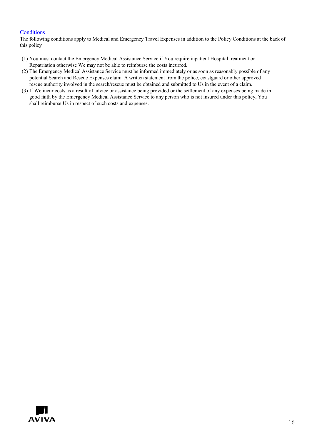## **Conditions**

The following conditions apply to Medical and Emergency Travel Expenses in addition to the Policy Conditions at the back of this policy

- (1) You must contact the Emergency Medical Assistance Service if You require inpatient Hospital treatment or Repatriation otherwise We may not be able to reimburse the costs incurred.
- (2) The Emergency Medical Assistance Service must be informed immediately or as soon as reasonably possible of any potential Search and Rescue Expenses claim. A written statement from the police, coastguard or other approved rescue authority involved in the search/rescue must be obtained and submitted to Us in the event of a claim.
- (3) If We incur costs as a result of advice or assistance being provided or the settlement of any expenses being made in good faith by the Emergency Medical Assistance Service to any person who is not insured under this policy, You shall reimburse Us in respect of such costs and expenses.

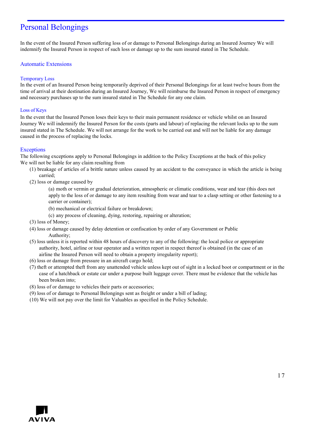## Personal Belongings

In the event of the Insured Person suffering loss of or damage to Personal Belongings during an Insured Journey We will indemnify the Insured Person in respect of such loss or damage up to the sum insured stated in The Schedule.

## Automatic Extensions

## Temporary Loss

In the event of an Insured Person being temporarily deprived of their Personal Belongings for at least twelve hours from the time of arrival at their destination during an Insured Journey, We will reimburse the Insured Person in respect of emergency and necessary purchases up to the sum insured stated in The Schedule for any one claim.

## Loss of Keys

In the event that the Insured Person loses their keys to their main permanent residence or vehicle whilst on an Insured Journey We will indemnify the Insured Person for the costs (parts and labour) of replacing the relevant locks up to the sum insured stated in The Schedule. We will not arrange for the work to be carried out and will not be liable for any damage caused in the process of replacing the locks.

## **Exceptions**

The following exceptions apply to Personal Belongings in addition to the Policy Exceptions at the back of this policy We will not be liable for any claim resulting from

- (1) breakage of articles of a brittle nature unless caused by an accident to the conveyance in which the article is being carried;
- (2) loss or damage caused by

(a) moth or vermin or gradual deterioration, atmospheric or climatic conditions, wear and tear (this does not apply to the loss of or damage to any item resulting from wear and tear to a clasp setting or other fastening to a carrier or container);

- (b) mechanical or electrical failure or breakdown;
- (c) any process of cleaning, dying, restoring, repairing or alteration;
- (3) loss of Money;
- (4) loss or damage caused by delay detention or confiscation by order of any Government or Public Authority;
- (5) loss unless it is reported within 48 hours of discovery to any of the following: the local police or appropriate authority, hotel, airline or tour operator and a written report in respect thereof is obtained (in the case of an airline the Insured Person will need to obtain a property irregularity report);
- (6) loss or damage from pressure in an aircraft cargo hold;
- (7) theft or attempted theft from any unattended vehicle unless kept out of sight in a locked boot or compartment or in the case of a hatchback or estate car under a purpose built luggage cover. There must be evidence that the vehicle has been broken into;
- (8) loss of or damage to vehicles their parts or accessories;
- (9) loss of or damage to Personal Belongings sent as freight or under a bill of lading;
- (10) We will not pay over the limit for Valuables as specified in the Policy Schedule.

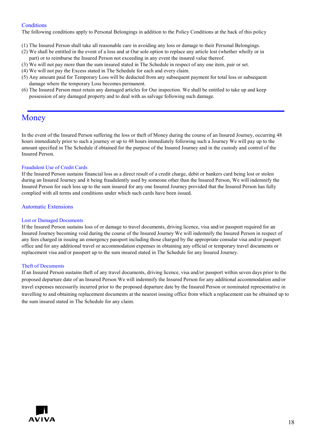## **Conditions**

The following conditions apply to Personal Belongings in addition to the Policy Conditions at the back of this policy

- (1) The Insured Person shall take all reasonable care in avoiding any loss or damage to their Personal Belongings.
- (2) We shall be entitled in the event of a loss and at Our sole option to replace any article lost (whether wholly or in part) or to reimburse the Insured Person not exceeding in any event the insured value thereof.
- (3) We will not pay more than the sum insured stated in The Schedule in respect of any one item, pair or set.
- (4) We will not pay the Excess stated in The Schedule for each and every claim.
- (5) Any amount paid for Temporary Loss will be deducted from any subsequent payment for total loss or subsequent damage where the temporary Loss becomes permanent.
- (6) The Insured Person must retain any damaged articles for Our inspection. We shall be entitled to take up and keep possession of any damaged property and to deal with as salvage following such damage.

## Money

In the event of the Insured Person suffering the loss or theft of Money during the course of an Insured Journey, occurring 48 hours immediately prior to such a journey or up to 48 hours immediately following such a Journey We will pay up to the amount specified in The Schedule if obtained for the purpose of the Insured Journey and in the custody and control of the Insured Person.

## Fraudulent Use of Credit Cards

If the Insured Person sustains financial loss as a direct result of a credit charge, debit or bankers card being lost or stolen during an Insured Journey and it being fraudulently used by someone other than the Insured Person, We will indemnify the Insured Person for such loss up to the sum insured for any one Insured Journey provided that the Insured Person has fully complied with all terms and conditions under which such cards have been issued.

## Automatic Extensions

## Lost or Damaged Documents

If the Insured Person sustains loss of or damage to travel documents, driving licence, visa and/or passport required for an Insured Journey becoming void during the course of the Insured Journey We will indemnify the Insured Person in respect of any fees charged in issuing an emergency passport including those charged by the appropriate consular visa and/or passport office and for any additional travel or accommodation expenses in obtaining any official or temporary travel documents or replacement visa and/or passport up to the sum insured stated in The Schedule for any Insured Journey.

## Theft of Documents

If an Insured Person sustains theft of any travel documents, driving licence, visa and/or passport within seven days prior to the proposed departure date of an Insured Person We will indemnify the Insured Person for any additional accommodation and/or travel expenses necessarily incurred prior to the proposed departure date by the Insured Person or nominated representative in travelling to and obtaining replacement documents at the nearest issuing office from which a replacement can be obtained up to the sum insured stated in The Schedule for any claim.

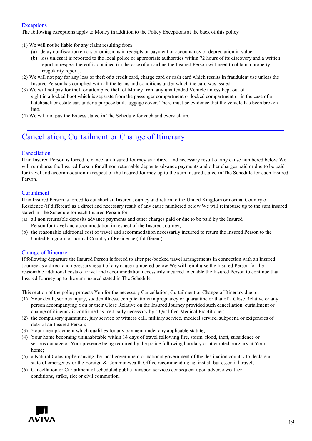## **Exceptions**

The following exceptions apply to Money in addition to the Policy Exceptions at the back of this policy

- (1) We will not be liable for any claim resulting from
	- (a) delay confiscation errors or omissions in receipts or payment or accountancy or depreciation in value;
		- (b) loss unless it is reported to the local police or appropriate authorities within 72 hours of its discovery and a written report in respect thereof is obtained (in the case of an airline the Insured Person will need to obtain a property irregularity report).
- (2) We will not pay for any loss or theft of a credit card, charge card or cash card which results in fraudulent use unless the Insured Person has complied with all the terms and conditions under which the card was issued.
- (3) We will not pay for theft or attempted theft of Money from any unattended Vehicle unless kept out of sight in a locked boot which is separate from the passenger compartment or locked compartment or in the case of a hatchback or estate car, under a purpose built luggage cover. There must be evidence that the vehicle has been broken into.
- (4) We will not pay the Excess stated in The Schedule for each and every claim.

# Cancellation, Curtailment or Change of Itinerary

## Cancellation

If an Insured Person is forced to cancel an Insured Journey as a direct and necessary result of any cause numbered below We will reimburse the Insured Person for all non returnable deposits advance payments and other charges paid or due to be paid for travel and accommodation in respect of the Insured Journey up to the sum insured stated in The Schedule for each Insured Person.

## Curtailment

If an Insured Person is forced to cut short an Insured Journey and return to the United Kingdom or normal Country of Residence (if different) as a direct and necessary result of any cause numbered below We will reimburse up to the sum insured stated in The Schedule for each Insured Person for

- (a) all non returnable deposits advance payments and other charges paid or due to be paid by the Insured Person for travel and accommodation in respect of the Insured Journey;
- (b) the reasonable additional cost of travel and accommodation necessarily incurred to return the Insured Person to the United Kingdom or normal Country of Residence (if different).

## Change of Itinerary

If following departure the Insured Person is forced to alter pre-booked travel arrangements in connection with an Insured Journey as a direct and necessary result of any cause numbered below We will reimburse the Insured Person for the reasonable additional costs of travel and accommodation necessarily incurred to enable the Insured Person to continue that Insured Journey up to the sum insured stated in The Schedule.

This section of the policy protects You for the necessary Cancellation, Curtailment or Change of Itinerary due to:

- (1) Your death, serious injury, sudden illness, complications in pregnancy or quarantine or that of a Close Relative or any person accompanying You or their Close Relative on the Insured Journey provided such cancellation, curtailment or change of itinerary is confirmed as medically necessary by a Qualified Medical Practitioner;
- (2) the compulsory quarantine, jury service or witness call, military service, medical service, subpoena or exigencies of duty of an Insured Person;
- (3) Your unemployment which qualifies for any payment under any applicable statute;
- (4) Your home becoming uninhabitable within 14 days of travel following fire, storm, flood, theft, subsidence or serious damage or Your presence being required by the police following burglary or attempted burglary at Your home;
- (5) a Natural Catastrophe causing the local government or national government of the destination country to declare a state of emergency or the Foreign & Commonwealth Office recommending against all but essential travel;
- (6) Cancellation or Curtailment of scheduled public transport services consequent upon adverse weather conditions, strike, riot or civil commotion.

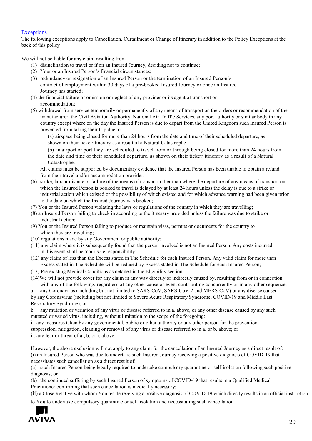## **Exceptions**

The following exceptions apply to Cancellation, Curtailment or Change of Itinerary in addition to the Policy Exceptions at the back of this policy

We will not be liable for any claim resulting from

- (1) disinclination to travel or if on an Insured Journey, deciding not to continue;
- (2) Your or an Insured Person's financial circumstances;
- (3) redundancy or resignation of an Insured Person or the termination of an Insured Person's contract of employment within 30 days of a pre-booked Insured Journey or once an Insured Journey has started;
- (4) the financial failure or omission or neglect of any provider or its agent of transport or accommodation;
- (5) withdrawal from service temporarily or permanently of any means of transport on the orders or recommendation of the manufacturer, the Civil Aviation Authority, National Air Traffic Services, any port authority or similar body in any country except where on the day the Insured Person is due to depart from the United Kingdom such Insured Person is prevented from taking their trip due to

(a) airspace being closed for more than 24 hours from the date and time of their scheduled departure, as shown on their ticket/itinerary as a result of a Natural Catastrophe

(b) an airport or port they are scheduled to travel from or through being closed for more than 24 hours from the date and time of their scheduled departure, as shown on their ticket/ itinerary as a result of a Natural Catastrophe.

All claims must be supported by documentary evidence that the Insured Person has been unable to obtain a refund from their travel and/or accommodation provider;

- (6) strike, labour dispute or failure of the means of transport other than where the departure of any means of transport on which the Insured Person is booked to travel is delayed by at least 24 hours unless the delay is due to a strike or industrial action which existed or the possibility of which existed and for which advance warning had been given prior to the date on which the Insured Journey was booked;
- (7) You or the Insured Person violating the laws or regulations of the country in which they are travelling;
- (8) an Insured Person failing to check in according to the itinerary provided unless the failure was due to strike or industrial action;
- (9) You or the Insured Person failing to produce or maintain visas, permits or documents for the country to which they are travelling;
- (10) regulations made by any Government or public authority;
- (11) any claim where it is subsequently found that the person involved is not an Insured Person. Any costs incurred in this event shall be Your sole responsibility;
- (12) any claim of less than the Excess stated in The Schedule for each Insured Person. Any valid claim for more than Excess stated in The Schedule will be reduced by Excess stated in The Schedule for each Insured Person;
- (13) Pre-existing Medical Conditions as detailed in the Eligibility section.
- (14)We will not provide cover for any claim in any way directly or indirectly caused by, resulting from or in connection with any of the following, regardless of any other cause or event contributing concurrently or in any other sequence:

a. any Coronavirus (including but not limited to SARS-CoV, SARS-CoV-2 and MERS-CoV) or any disease caused by any Coronavirus (including but not limited to Severe Acute Respiratory Syndrome, COVID-19 and Middle East Respiratory Syndrome); or

b. any mutation or variation of any virus or disease referred to in a. above, or any other disease caused by any such mutated or varied virus, including, without limitation to the scope of the foregoing:

i. any measures taken by any governmental, public or other authority or any other person for the prevention,

suppression, mitigation, cleaning or removal of any virus or disease referred to in a. or b. above; or

ii. any fear or threat of a., b. or i. above.

However, the above exclusion will not apply to any claim for the cancellation of an Insured Journey as a direct result of: (i) an Insured Person who was due to undertake such Insured Journey receiving a positive diagnosis of COVID-19 that necessitates such cancellation as a direct result of:

(a) such Insured Person being legally required to undertake compulsory quarantine or self-isolation following such positive diagnosis; or

(b) the continued suffering by such Insured Person of symptoms of COVID-19 that results in a Qualified Medical Practitioner confirming that such cancellation is medically necessary;

(ii) a Close Relative with whom You reside receiving a positive diagnosis of COVID-19 which directly results in an official instruction to You to undertake compulsory quarantine or self-isolation and necessitating such cancellation.

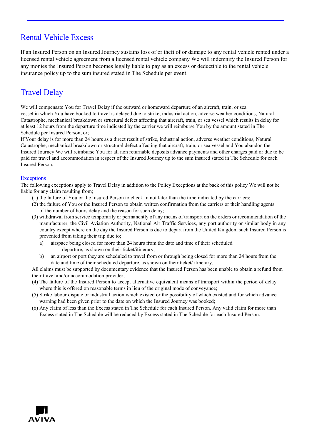# Rental Vehicle Excess

If an Insured Person on an Insured Journey sustains loss of or theft of or damage to any rental vehicle rented under a licensed rental vehicle agreement from a licensed rental vehicle company We will indemnify the Insured Person for any monies the Insured Person becomes legally liable to pay as an excess or deductible to the rental vehicle insurance policy up to the sum insured stated in The Schedule per event.

# Travel Delay

We will compensate You for Travel Delay if the outward or homeward departure of an aircraft, train, or sea vessel in which You have booked to travel is delayed due to strike, industrial action, adverse weather conditions, Natural Catastrophe, mechanical breakdown or structural defect affecting that aircraft, train, or sea vessel which results in delay for at least 12 hours from the departure time indicated by the carrier we will reimburse You by the amount stated in The Schedule per Insured Person, or;

If Your delay is for more than 24 hours as a direct result of strike, industrial action, adverse weather conditions, Natural Catastrophe, mechanical breakdown or structural defect affecting that aircraft, train, or sea vessel and You abandon the Insured Journey We will reimburse You for all non returnable deposits advance payments and other charges paid or due to be paid for travel and accommodation in respect of the Insured Journey up to the sum insured stated in The Schedule for each Insured Person.

## Exceptions

The following exceptions apply to Travel Delay in addition to the Policy Exceptions at the back of this policy We will not be liable for any claim resulting from;

- (1) the failure of You or the Insured Person to check in not later than the time indicated by the carriers;
- (2) the failure of You or the Insured Person to obtain written confirmation from the carriers or their handling agents of the number of hours delay and the reason for such delay;
- (3) withdrawal from service temporarily or permanently of any means of transport on the orders or recommendation of the manufacturer, the Civil Aviation Authority, National Air Traffic Services, any port authority or similar body in any country except where on the day the Insured Person is due to depart from the United Kingdom such Insured Person is prevented from taking their trip due to;
	- a) airspace being closed for more than 24 hours from the date and time of their scheduled departure, as shown on their ticket/itinerary;
	- b) an airport or port they are scheduled to travel from or through being closed for more than 24 hours from the date and time of their scheduled departure, as shown on their ticket/ itinerary.

All claims must be supported by documentary evidence that the Insured Person has been unable to obtain a refund from their travel and/or accommodation provider;

- (4) The failure of the Insured Person to accept alternative equivalent means of transport within the period of delay where this is offered on reasonable terms in lieu of the original mode of conveyance;
- (5) Strike labour dispute or industrial action which existed or the possibility of which existed and for which advance warning had been given prior to the date on which the Insured Journey was booked;
- (6) Any claim of less than the Excess stated in The Schedule for each Insured Person. Any valid claim for more than Excess stated in The Schedule will be reduced by Excess stated in The Schedule for each Insured Person.

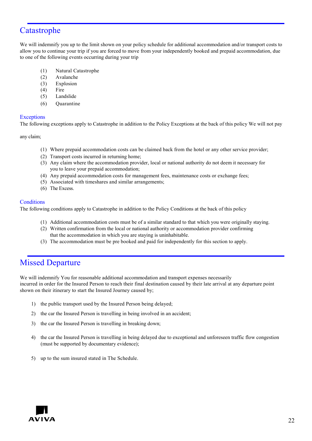## Catastrophe

We will indemnify you up to the limit shown on your policy schedule for additional accommodation and/or transport costs to allow you to continue your trip if you are forced to move from your independently booked and prepaid accommodation, due to one of the following events occurring during your trip

- (1) Natural Catastrophe
- (2) Avalanche
- (3) Explosion
- (4) Fire
- (5) Landslide
- (6) Quarantine

## **Exceptions**

The following exceptions apply to Catastrophe in addition to the Policy Exceptions at the back of this policy We will not pay

any claim;

- (1) Where prepaid accommodation costs can be claimed back from the hotel or any other service provider;
- (2) Transport costs incurred in returning home;
- (3) Any claim where the accommodation provider, local or national authority do not deem it necessary for you to leave your prepaid accommodation;
- (4) Any prepaid accommodation costs for management fees, maintenance costs or exchange fees;
- (5) Associated with timeshares and similar arrangements;
- (6) The Excess.

## **Conditions**

The following conditions apply to Catastrophe in addition to the Policy Conditions at the back of this policy

- (1) Additional accommodation costs must be of a similar standard to that which you were originally staying.
- (2) Written confirmation from the local or national authority or accommodation provider confirming that the accommodation in which you are staying is uninhabitable.
- (3) The accommodation must be pre booked and paid for independently for this section to apply.

## Missed Departure

We will indemnify You for reasonable additional accommodation and transport expenses necessarily incurred in order for the Insured Person to reach their final destination caused by their late arrival at any departure point shown on their itinerary to start the Insured Journey caused by;

- 1) the public transport used by the Insured Person being delayed;
- 2) the car the Insured Person is travelling in being involved in an accident;
- 3) the car the Insured Person is travelling in breaking down;
- 4) the car the Insured Person is travelling in being delayed due to exceptional and unforeseen traffic flow congestion (must be supported by documentary evidence);
- 5) up to the sum insured stated in The Schedule.

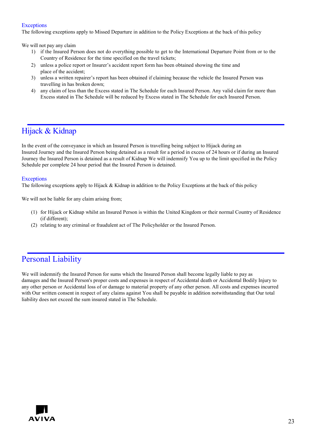## **Exceptions**

The following exceptions apply to Missed Departure in addition to the Policy Exceptions at the back of this policy

We will not pay any claim

- 1) if the Insured Person does not do everything possible to get to the International Departure Point from or to the Country of Residence for the time specified on the travel tickets;
- 2) unless a police report or Insurer's accident report form has been obtained showing the time and place of the accident;
- 3) unless a written repairer's report has been obtained if claiming because the vehicle the Insured Person was travelling in has broken down;
- 4) any claim of less than the Excess stated in The Schedule for each Insured Person. Any valid claim for more than Excess stated in The Schedule will be reduced by Excess stated in The Schedule for each Insured Person.

## Hijack & Kidnap

In the event of the conveyance in which an Insured Person is travelling being subject to Hijack during an Insured Journey and the Insured Person being detained as a result for a period in excess of 24 hours or if during an Insured Journey the Insured Person is detained as a result of Kidnap We will indemnify You up to the limit specified in the Policy Schedule per complete 24 hour period that the Insured Person is detained.

## **Exceptions**

The following exceptions apply to Hijack & Kidnap in addition to the Policy Exceptions at the back of this policy

We will not be liable for any claim arising from;

- (1) for Hijack or Kidnap whilst an Insured Person is within the United Kingdom or their normal Country of Residence (if different);
- (2) relating to any criminal or fraudulent act of The Policyholder or the Insured Person.

## Personal Liability

We will indemnify the Insured Person for sums which the Insured Person shall become legally liable to pay as damages and the Insured Person's proper costs and expenses in respect of Accidental death or Accidental Bodily Injury to any other person or Accidental loss of or damage to material property of any other person. All costs and expenses incurred with Our written consent in respect of any claims against You shall be payable in addition notwithstanding that Our total liability does not exceed the sum insured stated in The Schedule.

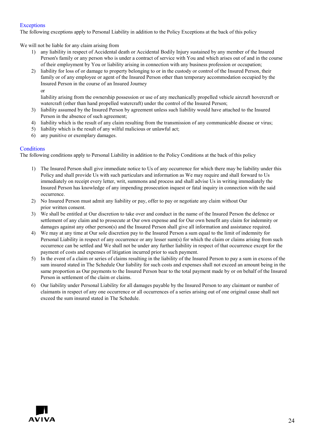## **Exceptions**

The following exceptions apply to Personal Liability in addition to the Policy Exceptions at the back of this policy

We will not be liable for any claim arising from

- 1) any liability in respect of Accidental death or Accidental Bodily Injury sustained by any member of the Insured Person's family or any person who is under a contract of service with You and which arises out of and in the course of their employment by You or liability arising in connection with any business profession or occupation;
- 2) liability for loss of or damage to property belonging to or in the custody or control of the Insured Person, their family or of any employee or agent of the Insured Person other than temporary accommodation occupied by the Insured Person in the course of an Insured Journey or

liability arising from the ownership possession or use of any mechanically propelled vehicle aircraft hovercraft or watercraft (other than hand propelled watercraft) under the control of the Insured Person;

- 3) liability assumed by the Insured Person by agreement unless such liability would have attached to the Insured Person in the absence of such agreement;
- 4) liability which is the result of any claim resulting from the transmission of any communicable disease or virus;
- 5) liability which is the result of any wilful malicious or unlawful act;
- 6) any punitive or exemplary damages.

## **Conditions**

The following conditions apply to Personal Liability in addition to the Policy Conditions at the back of this policy

- 1) The Insured Person shall give immediate notice to Us of any occurrence for which there may be liability under this Policy and shall provide Us with such particulars and information as We may require and shall forward to Us immediately on receipt every letter, writ, summons and process and shall advise Us in writing immediately the Insured Person has knowledge of any impending prosecution inquest or fatal inquiry in connection with the said occurrence.
- 2) No Insured Person must admit any liability or pay, offer to pay or negotiate any claim without Our prior written consent.
- 3) We shall be entitled at Our discretion to take over and conduct in the name of the Insured Person the defence or settlement of any claim and to prosecute at Our own expense and for Our own benefit any claim for indemnity or damages against any other person(s) and the Insured Person shall give all information and assistance required.
- 4) We may at any time at Our sole discretion pay to the Insured Person a sum equal to the limit of indemnity for Personal Liability in respect of any occurrence or any lesser sum(s) for which the claim or claims arising from such occurrence can be settled and We shall not be under any further liability in respect of that occurrence except for the payment of costs and expenses of litigation incurred prior to such payment.
- 5) In the event of a claim or series of claims resulting in the liability of the Insured Person to pay a sum in excess of the sum insured stated in The Schedule Our liability for such costs and expenses shall not exceed an amount being in the same proportion as Our payments to the Insured Person bear to the total payment made by or on behalf of the Insured Person in settlement of the claim or claims.
- 6) Our liability under Personal Liability for all damages payable by the Insured Person to any claimant or number of claimants in respect of any one occurrence or all occurrences of a series arising out of one original cause shall not exceed the sum insured stated in The Schedule.

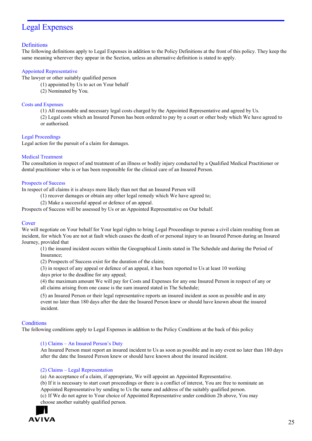## Legal Expenses

## **Definitions**

The following definitions apply to Legal Expenses in addition to the Policy Definitions at the front of this policy. They keep the same meaning wherever they appear in the Section, unless an alternative definition is stated to apply.

## Appointed Representative

The lawyer or other suitably qualified person

- (1) appointed by Us to act on Your behalf
- (2) Nominated by You.

## Costs and Expenses

(1) All reasonable and necessary legal costs charged by the Appointed Representative and agreed by Us.

(2) Legal costs which an Insured Person has been ordered to pay by a court or other body which We have agreed to or authorised.

## Legal Proceedings

Legal action for the pursuit of a claim for damages.

## Medical Treatment

The consultation in respect of and treatment of an illness or bodily injury conducted by a Qualified Medical Practitioner or dental practitioner who is or has been responsible for the clinical care of an Insured Person.

## Prospects of Success

In respect of all claims it is always more likely than not that an Insured Person will

- (1) recover damages or obtain any other legal remedy which We have agreed to;
- (2) Make a successful appeal or defence of an appeal.

Prospects of Success will be assessed by Us or an Appointed Representative on Our behalf.

## **Cover**

We will negotiate on Your behalf for Your legal rights to bring Legal Proceedings to pursue a civil claim resulting from an incident, for which You are not at fault which causes the death of or personal injury to an Insured Person during an Insured Journey, provided that

(1) the insured incident occurs within the Geographical Limits stated in The Schedule and during the Period of Insurance;

(2) Prospects of Success exist for the duration of the claim;

(3) in respect of any appeal or defence of an appeal, it has been reported to Us at least 10 working

days prior to the deadline for any appeal;

(4) the maximum amount We will pay for Costs and Expenses for any one Insured Person in respect of any or all claims arising from one cause is the sum insured stated in The Schedule;

(5) an Insured Person or their legal representative reports an insured incident as soon as possible and in any event no later than 180 days after the date the Insured Person knew or should have known about the insured incident.

## **Conditions**

The following conditions apply to Legal Expenses in addition to the Policy Conditions at the back of this policy

## (1) Claims – An Insured Person's Duty

An Insured Person must report an insured incident to Us as soon as possible and in any event no later than 180 days after the date the Insured Person knew or should have known about the insured incident.

## (2) Claims – Legal Representation

(a) An acceptance of a claim, if appropriate, We will appoint an Appointed Representative.

(b) If it is necessary to start court proceedings or there is a conflict of interest, You are free to nominate an Appointed Representative by sending to Us the name and address of the suitably qualified person. (c) If We do not agree to Your choice of Appointed Representative under condition 2b above, You may

choose another suitably qualified person.

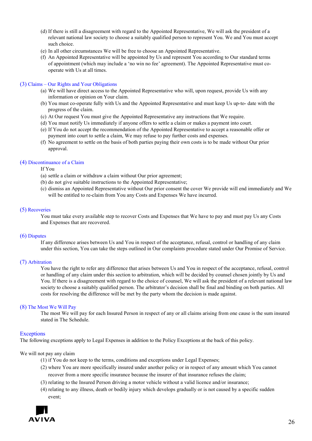- (d) If there is still a disagreement with regard to the Appointed Representative, We will ask the president of a relevant national law society to choose a suitably qualified person to represent You. We and You must accept such choice.
- (e) In all other circumstances We will be free to choose an Appointed Representative.
- (f) An Appointed Representative will be appointed by Us and represent You according to Our standard terms of appointment (which may include a 'no win no fee' agreement). The Appointed Representative must cooperate with Us at all times.

## (3) Claims – Our Rights and Your Obligations

- (a) We will have direct access to the Appointed Representative who will, upon request, provide Us with any information or opinion on Your claim.
- (b) You must co-operate fully with Us and the Appointed Representative and must keep Us up-to- date with the progress of the claim.
- (c) At Our request You must give the Appointed Representative any instructions that We require.
- (d) You must notify Us immediately if anyone offers to settle a claim or makes a payment into court.
- (e) If You do not accept the recommendation of the Appointed Representative to accept a reasonable offer or payment into court to settle a claim, We may refuse to pay further costs and expenses.
- (f) No agreement to settle on the basis of both parties paying their own costs is to be made without Our prior approval.

## (4) Discontinuance of a Claim

If You

- (a) settle a claim or withdraw a claim without Our prior agreement;
- (b) do not give suitable instructions to the Appointed Representative;
- (c) dismiss an Appointed Representative without Our prior consent the cover We provide will end immediately and We will be entitled to re-claim from You any Costs and Expenses We have incurred.

## (5) Recoveries

You must take every available step to recover Costs and Expenses that We have to pay and must pay Us any Costs and Expenses that are recovered.

## (6) Disputes

If any difference arises between Us and You in respect of the acceptance, refusal, control or handling of any claim under this section, You can take the steps outlined in Our complaints procedure stated under Our Promise of Service.

## (7) Arbitration

You have the right to refer any difference that arises between Us and You in respect of the acceptance, refusal, control or handling of any claim under this section to arbitration, which will be decided by counsel chosen jointly by Us and You. If there is a disagreement with regard to the choice of counsel, We will ask the president of a relevant national law society to choose a suitably qualified person. The arbitrator's decision shall be final and binding on both parties. All costs for resolving the difference will be met by the party whom the decision is made against.

## (8) The Most We Will Pay

The most We will pay for each Insured Person in respect of any or all claims arising from one cause is the sum insured stated in The Schedule.

## **Exceptions**

The following exceptions apply to Legal Expenses in addition to the Policy Exceptions at the back of this policy.

## We will not pay any claim

- (1) if You do not keep to the terms, conditions and exceptions under Legal Expenses;
- (2) where You are more specifically insured under another policy or in respect of any amount which You cannot recover from a more specific insurance because the insurer of that insurance refuses the claim;
- (3) relating to the Insured Person driving a motor vehicle without a valid licence and/or insurance;
- (4) relating to any illness, death or bodily injury which develops gradually or is not caused by a specific sudden event;

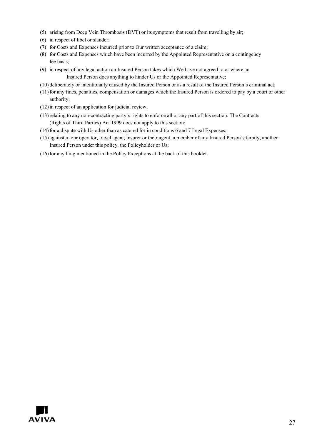- (5) arising from Deep Vein Thrombosis (DVT) or its symptoms that result from travelling by air;
- (6) in respect of libel or slander;
- (7) for Costs and Expenses incurred prior to Our written acceptance of a claim;
- (8) for Costs and Expenses which have been incurred by the Appointed Representative on a contingency fee basis;
- (9) in respect of any legal action an Insured Person takes which We have not agreed to or where an Insured Person does anything to hinder Us or the Appointed Representative;
- (10) deliberately or intentionally caused by the Insured Person or as a result of the Insured Person's criminal act;
- (11)for any fines, penalties, compensation or damages which the Insured Person is ordered to pay by a court or other authority;
- $(12)$  in respect of an application for judicial review;
- (13)relating to any non-contracting party's rights to enforce all or any part of this section. The Contracts (Rights of Third Parties) Act 1999 does not apply to this section;
- $(14)$  for a dispute with Us other than as catered for in conditions 6 and 7 Legal Expenses;
- (15) against a tour operator, travel agent, insurer or their agent, a member of any Insured Person's family, another Insured Person under this policy, the Policyholder or Us;
- (16) for anything mentioned in the Policy Exceptions at the back of this booklet.

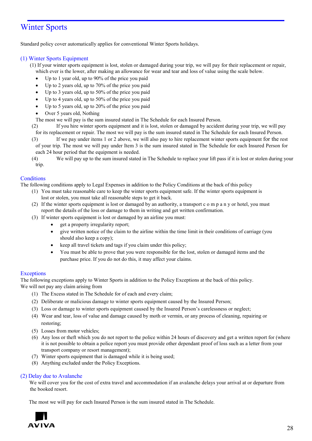# Winter Sports

Standard policy cover automatically applies for conventional Winter Sports holidays.

## (1) Winter Sports Equipment

(1) If your winter sports equipment is lost, stolen or damaged during your trip, we will pay for their replacement or repair, which ever is the lower, after making an allowance for wear and tear and loss of value using the scale below.

- Up to 1 year old, up to 90% of the price you paid
- Up to 2 years old, up to  $70\%$  of the price you paid
- Up to 3 years old, up to 50% of the price you paid
- Up to 4 years old, up to 50% of the price you paid
- Up to 5 years old, up to 20% of the price you paid
- Over 5 years old, Nothing
- The most we will pay is the sum insured stated in The Schedule for each Insured Person.
- (2) If you hire winter sports equipment and it is lost, stolen or damaged by accident during your trip, we will pay for its replacement or repair. The most we will pay is the sum insured stated in The Schedule for each Insured Person.
- (3) If we pay under items 1 or 2 above, we will also pay to hire replacement winter sports equipment for the rest of your trip. The most we will pay under Item 3 is the sum insured stated in The Schedule for each Insured Person for each 24 hour period that the equipment is needed.
- (4) We will pay up to the sum insured stated in The Schedule to replace your lift pass if it is lost or stolen during your trip.

## **Conditions**

The following conditions apply to Legal Expenses in addition to the Policy Conditions at the back of this policy

- (1) You must take reasonable care to keep the winter sports equipment safe. If the winter sports equipment is lost or stolen, you must take all reasonable steps to get it back.
- (2) If the winter sports equipment is lost or damaged by an authority, a transport c o m p a n y or hotel, you must report the details of the loss or damage to them in writing and get written confirmation.
- (3) If winter sports equipment is lost or damaged by an airline you must:
	- get a property irregularity report;
	- give written notice of the claim to the airline within the time limit in their conditions of carriage (you should also keep a copy);
	- keep all travel tickets and tags if you claim under this policy;
	- You must be able to prove that you were responsible for the lost, stolen or damaged items and the purchase price. If you do not do this, it may affect your claims.

## **Exceptions**

The following exceptions apply to Winter Sports in addition to the Policy Exceptions at the back of this policy. We will not pay any claim arising from

- (1) The Excess stated in The Schedule for of each and every claim;
- (2) Deliberate or malicious damage to winter sports equipment caused by the Insured Person;
- (3) Loss or damage to winter sports equipment caused by the Insured Person's carelessness or neglect;
- (4) Wear and tear, loss of value and damage caused by moth or vermin, or any process of cleaning, repairing or restoring;
- (5) Losses from motor vehicles;
- (6) Any loss or theft which you do not report to the police within 24 hours of discovery and get a written report for (where it is not possible to obtain a police report you must provide other dependant proof of loss such as a letter from your transport company or resort management);
- (7) Winter sports equipment that is damaged while it is being used;
- (8) Anything excluded under the Policy Exceptions.

## (2) Delay due to Avalanche

We will cover you for the cost of extra travel and accommodation if an avalanche delays your arrival at or departure from the booked resort.

The most we will pay for each Insured Person is the sum insured stated in The Schedule.

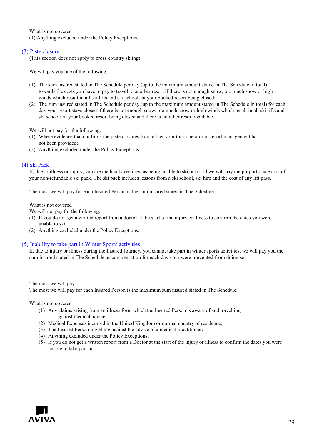What is not covered (1) Anything excluded under the Policy Exceptions.

## (3) Piste closure

(This section does not apply to cross country skiing)

We will pay you one of the following.

- (1) The sum insured stated in The Schedule per day (up to the maximum amount stated in The Schedule in total) towards the costs you have to pay to travel to another resort if there is not enough snow, too much snow or high winds which result in all ski lifts and ski schools at your booked resort being closed;
- (2) The sum insured stated in The Schedule per day (up to the maximum amount stated in The Schedule in total) for each day your resort stays closed if there is not enough snow, too much snow or high winds which result in all ski lifts and ski schools at your booked resort being closed and there is no other resort available.

We will not pay for the following.

- (1) Where evidence that confirms the piste closures from either your tour operator or resort management has not been provided;
- (2) Anything excluded under the Policy Exceptions.

## (4) Ski Pack

If, due to illness or injury, you are medically certified as being unable to ski or board we will pay the proportionate cost of your non-refundable ski pack. The ski pack includes lessons from a ski school, ski hire and the cost of any lift pass.

The most we will pay for each Insured Person is the sum insured stated in The Schedule.

What is not covered

We will not pay for the following.

- (1) If you do not get a written report from a doctor at the start of the injury or illness to confirm the dates you were unable to ski.
- (2) Anything excluded under the Policy Exceptions.

## (5) Inability to take part in Winter Sports activities

If, due to injury or illness during the Insured Journey, you cannot take part in winter sports activities, we will pay you the sum insured stated in The Schedule as compensation for each day your were prevented from doing so.

#### The most we will pay

The most we will pay for each Insured Person is the maximum sum insured stated in The Schedule.

## What is not covered

- (1) Any claims arising from an illness form which the Insured Person is aware of and travelling against medical advice;
- (2) Medical Expenses incurred in the United Kingdom or normal country of residence;
- (3) The Insured Person travelling against the advice of a medical practitioner;
- (4) Anything excluded under the Policy Exceptions;
- (5) If you do not get a written report from a Doctor at the start of the injury or illness to confirm the dates you were unable to take part in.

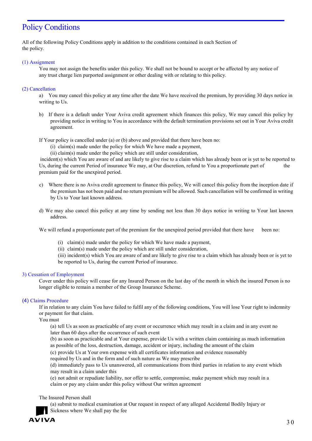# **Policy Conditions**

All of the following Policy Conditions apply in addition to the conditions contained in each Section of the policy.

## (1) Assignment

You may not assign the benefits under this policy. We shall not be bound to accept or be affected by any notice of any trust charge lien purported assignment or other dealing with or relating to this policy.

## (2) Cancellation

a) You may cancel this policy at any time after the date We have received the premium, by providing 30 days notice in writing to Us.

- b) If there is a default under Your Aviva credit agreement which finances this policy, We may cancel this policy by providing notice in writing to You in accordance with the default termination provisions set out in Your Aviva credit agreement.
- If Your policy is cancelled under (a) or (b) above and provided that there have been no:
	- (i) claim(s) made under the policy for which We have made a payment,
	- (ii) claim(s) made under the policy which are still under consideration,

incident(s) which You are aware of and are likely to give rise to a claim which has already been or is yet to be reported to Us, during the current Period of insurance We may, at Our discretion, refund to You a proportionate part of the premium paid for the unexpired period.

- c) Where there is no Aviva credit agreement to finance this policy, We will cancel this policy from the inception date if the premium has not been paid and no return premium will be allowed. Such cancellation will be confirmed in writing by Us to Your last known address.
- d) We may also cancel this policy at any time by sending not less than 30 days notice in writing to Your last known address.

We will refund a proportionate part of the premium for the unexpired period provided that there have been no:

- (i) claim(s) made under the policy for which We have made a payment,
- (ii) claim(s) made under the policy which are still under consideration,
- (iii) incident(s) which You are aware of and are likely to give rise to a claim which has already been or is yet to be reported to Us, during the current Period of insurance.

## 3) Cessation of Employment

Cover under this policy will cease for any Insured Person on the last day of the month in which the insured Person is no longer eligible to remain a member of the Group Insurance Scheme.

## (4) Claims Procedure

If in relation to any claim You have failed to fulfil any of the following conditions, You will lose Your right to indemnity or payment for that claim.

You must

(a) tell Us as soon as practicable of any event or occurrence which may result in a claim and in any event no later than 60 days after the occurrence of such event

(b) as soon as practicable and at Your expense, provide Us with a written claim containing as much information as possible of the loss, destruction, damage, accident or injury, including the amount of the claim

(c) provide Us at Your own expense with all certificates information and evidence reasonably

required by Us and in the form and of such nature as We may prescribe

(d) immediately pass to Us unanswered, all communications from third parties in relation to any event which may result in a claim under this

(e) not admit or repudiate liability, nor offer to settle, compromise, make payment which may result in a claim or pay any claim under this policy without Our written agreement

The Insured Person shall

(a) submit to medical examination at Our request in respect of any alleged Accidental Bodily Injury or Sickness where We shall pay the fee

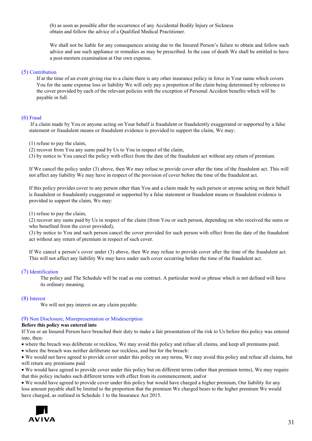(b) as soon as possible after the occurrence of any Accidental Bodily Injury or Sickness obtain and follow the advice of a Qualified Medical Practitioner.

We shall not be liable for any consequences arising due to the Insured Person's failure to obtain and follow such advice and use such appliance or remedies as may be prescribed. In the case of death We shall be entitled to have a post-mortem examination at Our own expense.

## (5) Contribution

If at the time of an event giving rise to a claim there is any other insurance policy in force in Your name which covers You for the same expense loss or liability We will only pay a proportion of the claim being determined by reference to the cover provided by each of the relevant policies with the exception of Personal Accident benefits which will be payable in full.

## (6) Fraud

If a claim made by You or anyone acting on Your behalf is fraudulent or fraudulently exaggerated or supported by a false statement or fraudulent means or fraudulent evidence is provided to support the claim, We may:

(1) refuse to pay the claim,

(2) recover from You any sums paid by Us to You in respect of the claim,

(3) by notice to You cancel the policy with effect from the date of the fraudulent act without any return of premium.

If We cancel the policy under (3) above, then We may refuse to provide cover after the time of the fraudulent act. This will not affect any liability We may have in respect of the provision of cover before the time of the fraudulent act.

If this policy provides cover to any person other than You and a claim made by such person or anyone acting on their behalf is fraudulent or fraudulently exaggerated or supported by a false statement or fraudulent means or fraudulent evidence is provided to support the claim, We may:

(1) refuse to pay the claim,

(2) recover any sums paid by Us in respect of the claim (from You or such person, depending on who received the sums or who benefited from the cover provided),

(3) by notice to You and such person cancel the cover provided for such person with effect from the date of the fraudulent act without any return of premium in respect of such cover.

If We cancel a person's cover under (3) above, then We may refuse to provide cover after the time of the fraudulent act. This will not affect any liability We may have under such cover occurring before the time of the fraudulent act.

## (7) Identification

The policy and The Schedule will be read as one contract. A particular word or phrase which is not defined will have its ordinary meaning.

## (8) Interest

We will not pay interest on any claim payable.

## (9) Non Disclosure, Misrepresentation or Misdescription

#### **Before this policy was entered into**

If You or an Insured Person have breached their duty to make a fair presentation of the risk to Us before this policy was entered into, then:

• where the breach was deliberate or reckless, We may avoid this policy and refuse all claims, and keep all premiums paid;

• where the breach was neither deliberate nor reckless, and but for the breach:

• We would not have agreed to provide cover under this policy on any terms, We may avoid this policy and refuse all claims, but will return any premiums paid

• We would have agreed to provide cover under this policy but on different terms (other than premium terms), We may require that this policy includes such different terms with effect from its commencement, and/or

• We would have agreed to provide cover under this policy but would have charged a higher premium, Our liability for any loss amount payable shall be limited to the proportion that the premium We charged bears to the higher premium We would have charged, as outlined in Schedule 1 to the Insurance Act 2015.

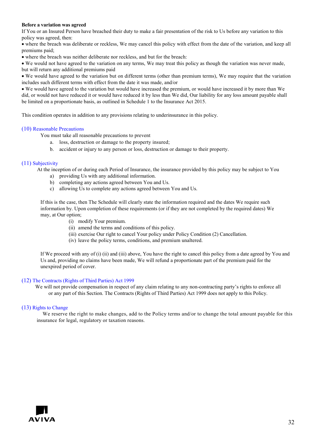## **Before a variation was agreed**

If You or an Insured Person have breached their duty to make a fair presentation of the risk to Us before any variation to this policy was agreed, then:

• where the breach was deliberate or reckless, We may cancel this policy with effect from the date of the variation, and keep all premiums paid;

• where the breach was neither deliberate nor reckless, and but for the breach:

• We would not have agreed to the variation on any terms, We may treat this policy as though the variation was never made, but will return any additional premiums paid

• We would have agreed to the variation but on different terms (other than premium terms), We may require that the variation includes such different terms with effect from the date it was made, and/or

• We would have agreed to the variation but would have increased the premium, or would have increased it by more than We did, or would not have reduced it or would have reduced it by less than We did, Our liability for any loss amount payable shall be limited on a proportionate basis, as outlined in Schedule 1 to the Insurance Act 2015.

This condition operates in addition to any provisions relating to underinsurance in this policy.

## (10) Reasonable Precautions

You must take all reasonable precautions to prevent

- a. loss, destruction or damage to the property insured;
- b. accident or injury to any person or loss, destruction or damage to their property.

## (11) Subjectivity

At the inception of or during each Period of Insurance, the insurance provided by this policy may be subject to You

- a) providing Us with any additional information.
- b) completing any actions agreed between You and Us.
- c) allowing Us to complete any actions agreed between You and Us.

If this is the case, then The Schedule will clearly state the information required and the dates We require such information by. Upon completion of these requirements (or if they are not completed by the required dates) We may, at Our option;

- (i) modify Your premium.
- (ii) amend the terms and conditions of this policy.
- (iii) exercise Our right to cancel Your policy under Policy Condition (2) Cancellation.
- (iv) leave the policy terms, conditions, and premium unaltered.

If We proceed with any of (i) (ii) and (iii) above, You have the right to cancel this policy from a date agreed by You and Us and, providing no claims have been made, We will refund a proportionate part of the premium paid for the unexpired period of cover.

## (12) The Contracts (Rights of Third Parties) Act 1999

We will not provide compensation in respect of any claim relating to any non-contracting party's rights to enforce all or any part of this Section. The Contracts (Rights of Third Parties) Act 1999 does not apply to this Policy.

## (13) Rights to Change

We reserve the right to make changes, add to the Policy terms and/or to change the total amount payable for this insurance for legal, regulatory or taxation reasons.

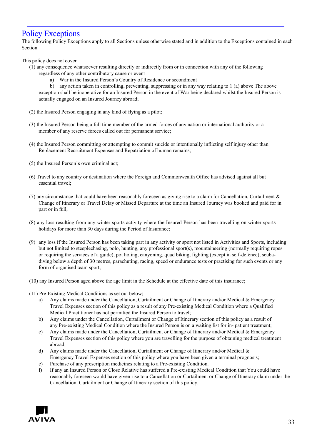## Policy Exceptions

The following Policy Exceptions apply to all Sections unless otherwise stated and in addition to the Exceptions contained in each Section.

This policy does not cover

- (1) any consequence whatsoever resulting directly or indirectly from or in connection with any of the following regardless of any other contributory cause or event
	- a) War in the Insured Person's Country of Residence or secondment

b) any action taken in controlling, preventing, suppressing or in any way relating to 1 (a) above The above exception shall be inoperative for an Insured Person in the event of War being declared whilst the Insured Person is actually engaged on an Insured Journey abroad;

- (2) the Insured Person engaging in any kind of flying as a pilot;
- (3) the Insured Person being a full time member of the armed forces of any nation or international authority or a member of any reserve forces called out for permanent service;
- (4) the Insured Person committing or attempting to commit suicide or intentionally inflicting self injury other than Replacement Recruitment Expenses and Repatriation of human remains;
- (5) the Insured Person's own criminal act;
- (6) Travel to any country or destination where the Foreign and Commonwealth Office has advised against all but essential travel;
- (7) any circumstance that could have been reasonably foreseen as giving rise to a claim for Cancellation, Curtailment  $\&$ Change of Itinerary or Travel Delay or Missed Departure at the time an Insured Journey was booked and paid for in part or in full;
- (8) any loss resulting from any winter sports activity where the Insured Person has been travelling on winter sports holidays for more than 30 days during the Period of Insurance;
- (9) any loss if the Insured Person has been taking part in any activity or sport not listed in Activities and Sports, including but not limited to steeplechasing, polo, hunting, any professional sport(s), mountaineering (normally requiring ropes or requiring the services of a guide), pot holing, canyoning, quad biking, fighting (except in self-defence), scubadiving below a depth of 30 metres, parachuting, racing, speed or endurance tests or practising for such events or any form of organised team sport;
- (10) any Insured Person aged above the age limit in the Schedule at the effective date of this insurance;
- (11) Pre-Existing Medical Conditions as set out below;
	- a) Any claims made under the Cancellation, Curtailment or Change of Itinerary and/or Medical & Emergency Travel Expenses section of this policy as a result of any Pre-existing Medical Condition where a Qualified Medical Practitioner has not permitted the Insured Person to travel;
	- b) Any claims under the Cancellation, Curtailment or Change of Itinerary section of this policy as a result of any Pre-existing Medical Condition where the Insured Person is on a waiting list for in- patient treatment;
	- c) Any claims made under the Cancellation, Curtailment or Change of Itinerary and/or Medical & Emergency Travel Expenses section of this policy where you are travelling for the purpose of obtaining medical treatment abroad;
	- d) Any claims made under the Cancellation, Curtailment or Change of Itinerary and/or Medical  $\&$ Emergency Travel Expenses section of this policy where you have been given a terminal prognosis;
	- e) Purchase of any prescription medicines relating to a Pre-existing Condition.
	- f) If any an Insured Person or Close Relative has suffered a Pre-existing Medical Condition that You could have reasonably foreseen would have given rise to a Cancellation or Curtailment or Change of Itinerary claim under the Cancellation, Curtailment or Change of Itinerary section of this policy.